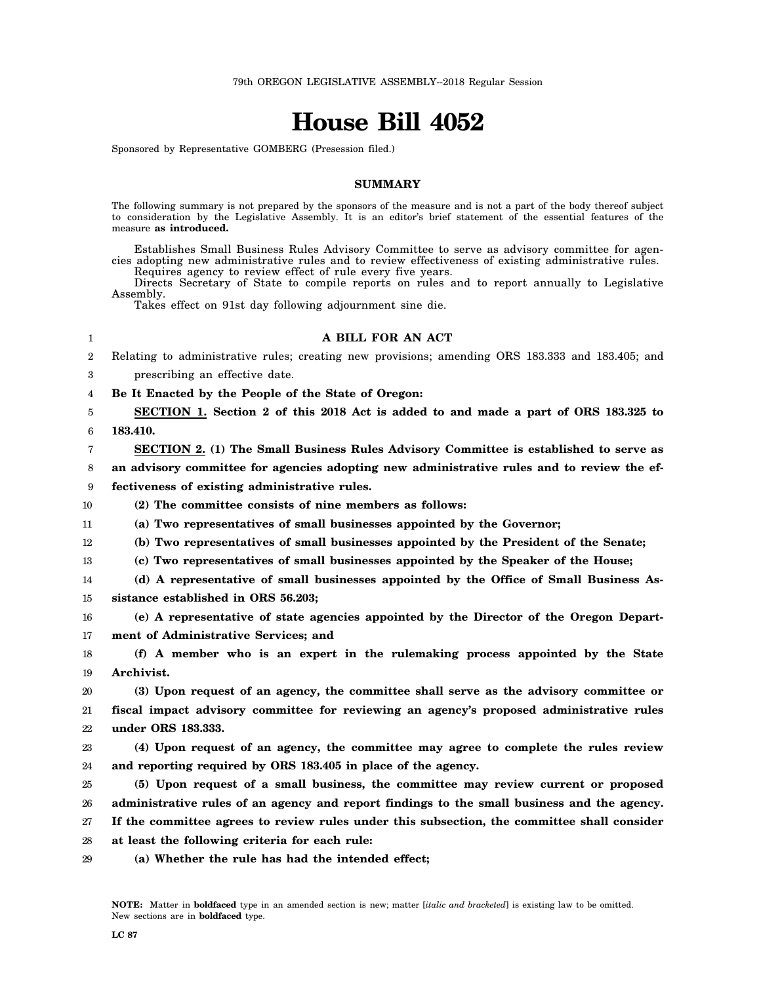# **House Bill 4052**

Sponsored by Representative GOMBERG (Presession filed.)

## **SUMMARY**

The following summary is not prepared by the sponsors of the measure and is not a part of the body thereof subject to consideration by the Legislative Assembly. It is an editor's brief statement of the essential features of the measure **as introduced.**

Establishes Small Business Rules Advisory Committee to serve as advisory committee for agencies adopting new administrative rules and to review effectiveness of existing administrative rules. Requires agency to review effect of rule every five years.

Directs Secretary of State to compile reports on rules and to report annually to Legislative Assembly.

Takes effect on 91st day following adjournment sine die.

## 1

#### **A BILL FOR AN ACT**

- 2 Relating to administrative rules; creating new provisions; amending ORS 183.333 and 183.405; and
- 3 prescribing an effective date.
- 4 **Be It Enacted by the People of the State of Oregon:**
- 5 6 **SECTION 1. Section 2 of this 2018 Act is added to and made a part of ORS 183.325 to 183.410.**
- 7 **SECTION 2. (1) The Small Business Rules Advisory Committee is established to serve as**

8 **an advisory committee for agencies adopting new administrative rules and to review the ef-**

9 **fectiveness of existing administrative rules.**

- 10 **(2) The committee consists of nine members as follows:**
- 11 **(a) Two representatives of small businesses appointed by the Governor;**
- 12 **(b) Two representatives of small businesses appointed by the President of the Senate;**
- 13 **(c) Two representatives of small businesses appointed by the Speaker of the House;**
- 14 15 **(d) A representative of small businesses appointed by the Office of Small Business Assistance established in ORS 56.203;**
- 16 17 **(e) A representative of state agencies appointed by the Director of the Oregon Department of Administrative Services; and**
- 18 19 **(f) A member who is an expert in the rulemaking process appointed by the State Archivist.**
- 20 21 22 **(3) Upon request of an agency, the committee shall serve as the advisory committee or fiscal impact advisory committee for reviewing an agency's proposed administrative rules under ORS 183.333.**
- 23 24 **(4) Upon request of an agency, the committee may agree to complete the rules review and reporting required by ORS 183.405 in place of the agency.**
- 25 26 **(5) Upon request of a small business, the committee may review current or proposed administrative rules of an agency and report findings to the small business and the agency.**
- 27 **If the committee agrees to review rules under this subsection, the committee shall consider**
- 28 **at least the following criteria for each rule:**
- 29 **(a) Whether the rule has had the intended effect;**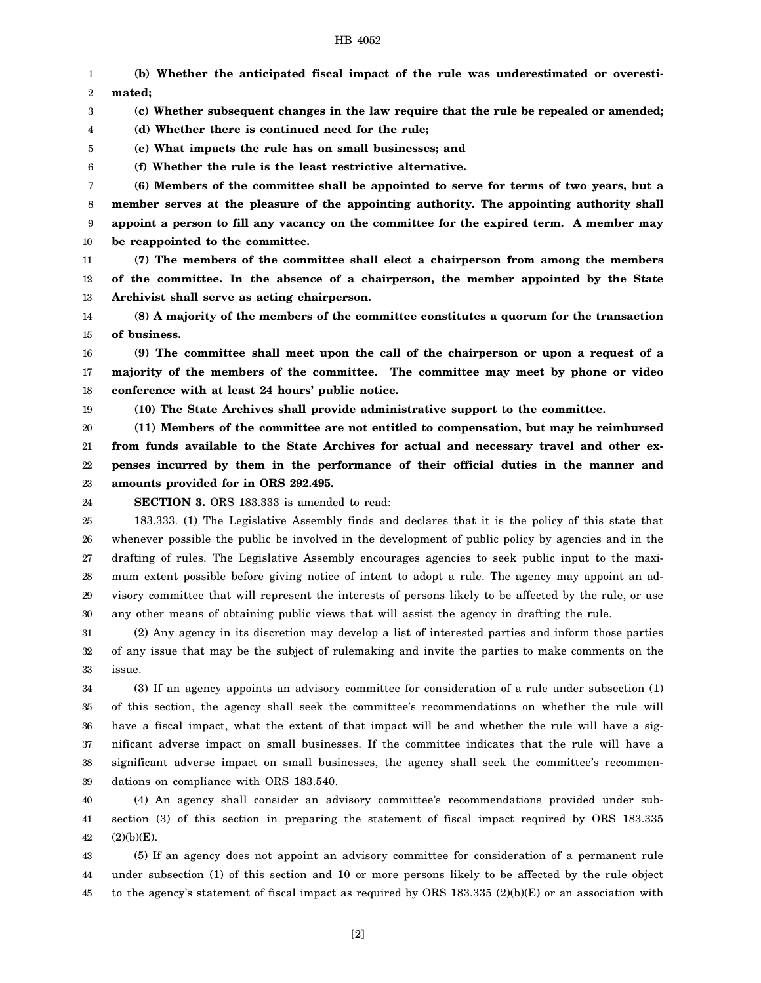### HB 4052

1 2 3 4 5 6 7 8 9 10 11 12 13 14 **(b) Whether the anticipated fiscal impact of the rule was underestimated or overestimated; (c) Whether subsequent changes in the law require that the rule be repealed or amended; (d) Whether there is continued need for the rule; (e) What impacts the rule has on small businesses; and (f) Whether the rule is the least restrictive alternative. (6) Members of the committee shall be appointed to serve for terms of two years, but a member serves at the pleasure of the appointing authority. The appointing authority shall appoint a person to fill any vacancy on the committee for the expired term. A member may be reappointed to the committee. (7) The members of the committee shall elect a chairperson from among the members of the committee. In the absence of a chairperson, the member appointed by the State Archivist shall serve as acting chairperson. (8) A majority of the members of the committee constitutes a quorum for the transaction**

15 **of business.**

16 17 18 **(9) The committee shall meet upon the call of the chairperson or upon a request of a majority of the members of the committee. The committee may meet by phone or video conference with at least 24 hours' public notice.**

19

**(10) The State Archives shall provide administrative support to the committee.**

20 21 22 23 **(11) Members of the committee are not entitled to compensation, but may be reimbursed from funds available to the State Archives for actual and necessary travel and other expenses incurred by them in the performance of their official duties in the manner and amounts provided for in ORS 292.495.**

24

**SECTION 3.** ORS 183.333 is amended to read:

25 26 27 28 29 30 183.333. (1) The Legislative Assembly finds and declares that it is the policy of this state that whenever possible the public be involved in the development of public policy by agencies and in the drafting of rules. The Legislative Assembly encourages agencies to seek public input to the maximum extent possible before giving notice of intent to adopt a rule. The agency may appoint an advisory committee that will represent the interests of persons likely to be affected by the rule, or use any other means of obtaining public views that will assist the agency in drafting the rule.

31 32 33 (2) Any agency in its discretion may develop a list of interested parties and inform those parties of any issue that may be the subject of rulemaking and invite the parties to make comments on the issue.

34 35 36 37 38 39 (3) If an agency appoints an advisory committee for consideration of a rule under subsection (1) of this section, the agency shall seek the committee's recommendations on whether the rule will have a fiscal impact, what the extent of that impact will be and whether the rule will have a significant adverse impact on small businesses. If the committee indicates that the rule will have a significant adverse impact on small businesses, the agency shall seek the committee's recommendations on compliance with ORS 183.540.

40 41 42 (4) An agency shall consider an advisory committee's recommendations provided under subsection (3) of this section in preparing the statement of fiscal impact required by ORS 183.335  $(2)(b)(E).$ 

43 44 45 (5) If an agency does not appoint an advisory committee for consideration of a permanent rule under subsection (1) of this section and 10 or more persons likely to be affected by the rule object to the agency's statement of fiscal impact as required by ORS 183.335 (2)(b)(E) or an association with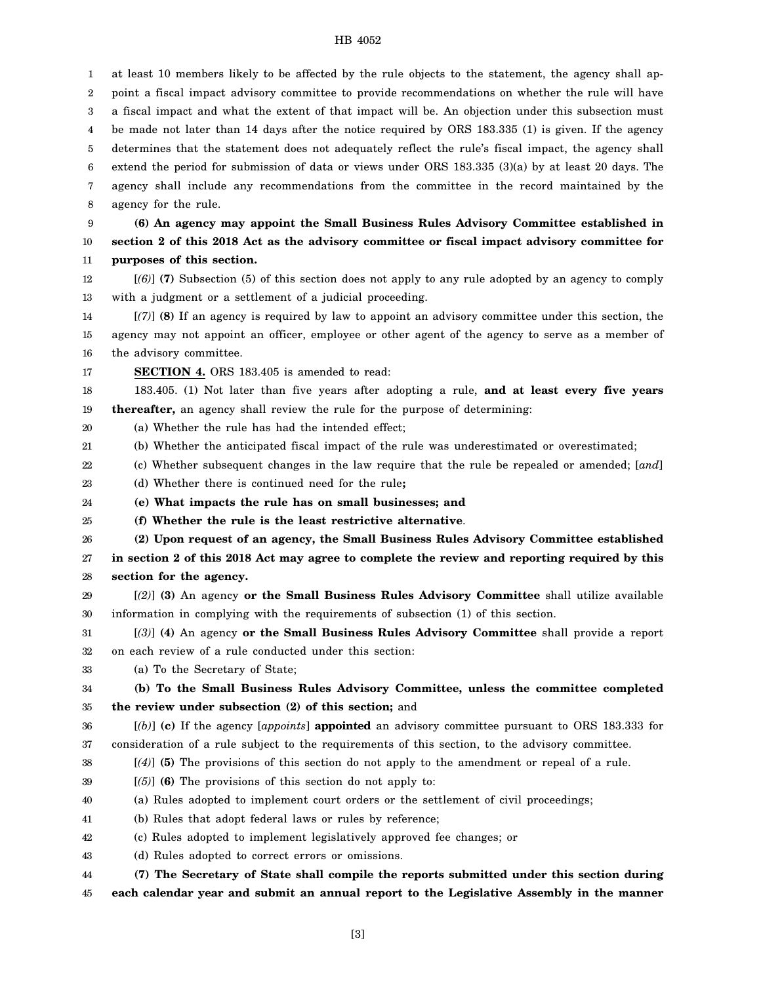## HB 4052

1 2 3 4 5 6 7 8 9 10 11 12 13 14 15 16 17 18 19 20 21 22 23 24 25 26 27 28 29 30 31 32 33 34 35 36 37 38 39 40 41 42 43 44 45 at least 10 members likely to be affected by the rule objects to the statement, the agency shall appoint a fiscal impact advisory committee to provide recommendations on whether the rule will have a fiscal impact and what the extent of that impact will be. An objection under this subsection must be made not later than 14 days after the notice required by ORS 183.335 (1) is given. If the agency determines that the statement does not adequately reflect the rule's fiscal impact, the agency shall extend the period for submission of data or views under ORS 183.335 (3)(a) by at least 20 days. The agency shall include any recommendations from the committee in the record maintained by the agency for the rule. **(6) An agency may appoint the Small Business Rules Advisory Committee established in section 2 of this 2018 Act as the advisory committee or fiscal impact advisory committee for purposes of this section.** [*(6)*] **(7)** Subsection (5) of this section does not apply to any rule adopted by an agency to comply with a judgment or a settlement of a judicial proceeding. [*(7)*] **(8)** If an agency is required by law to appoint an advisory committee under this section, the agency may not appoint an officer, employee or other agent of the agency to serve as a member of the advisory committee. **SECTION 4.** ORS 183.405 is amended to read: 183.405. (1) Not later than five years after adopting a rule, **and at least every five years thereafter,** an agency shall review the rule for the purpose of determining: (a) Whether the rule has had the intended effect; (b) Whether the anticipated fiscal impact of the rule was underestimated or overestimated; (c) Whether subsequent changes in the law require that the rule be repealed or amended; [*and*] (d) Whether there is continued need for the rule**; (e) What impacts the rule has on small businesses; and (f) Whether the rule is the least restrictive alternative**. **(2) Upon request of an agency, the Small Business Rules Advisory Committee established in section 2 of this 2018 Act may agree to complete the review and reporting required by this section for the agency.** [*(2)*] **(3)** An agency **or the Small Business Rules Advisory Committee** shall utilize available information in complying with the requirements of subsection (1) of this section. [*(3)*] **(4)** An agency **or the Small Business Rules Advisory Committee** shall provide a report on each review of a rule conducted under this section: (a) To the Secretary of State; **(b) To the Small Business Rules Advisory Committee, unless the committee completed the review under subsection (2) of this section;** and [*(b)*] **(c)** If the agency [*appoints*] **appointed** an advisory committee pursuant to ORS 183.333 for consideration of a rule subject to the requirements of this section, to the advisory committee. [*(4)*] **(5)** The provisions of this section do not apply to the amendment or repeal of a rule. [*(5)*] **(6)** The provisions of this section do not apply to: (a) Rules adopted to implement court orders or the settlement of civil proceedings; (b) Rules that adopt federal laws or rules by reference; (c) Rules adopted to implement legislatively approved fee changes; or (d) Rules adopted to correct errors or omissions. **(7) The Secretary of State shall compile the reports submitted under this section during each calendar year and submit an annual report to the Legislative Assembly in the manner**